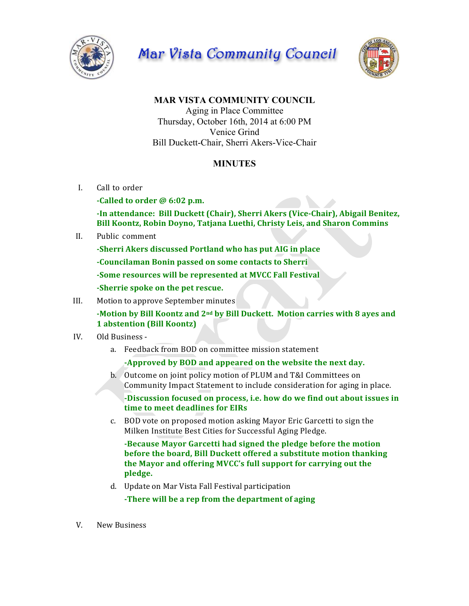

**Mar Vista Community Council** 



## **MAR VISTA COMMUNITY COUNCIL**

Aging in Place Committee Thursday, October 16th, 2014 at 6:00 PM Venice Grind Bill Duckett-Chair, Sherri Akers-Vice-Chair

# **MINUTES**

I. Call to order

**-Called to order @ 6:02 p.m.** 

**-In attendance: Bill Duckett (Chair), Sherri Akers (Vice-Chair), Abigail Benitez, Bill Koontz, Robin Doyno, Tatjana Luethi, Christy Leis, and Sharon Commins** 

II. Public comment

**-Sherri Akers discussed Portland who has put AIG in place** 

**-Councilaman Bonin passed on some contacts to Sherri** 

**-Some resources will be represented at MVCC Fall Festival** 

**-Sherrie spoke on the pet rescue.** 

III. Motion to approve September minutes

-Motion by Bill Koontz and 2<sup>nd</sup> by Bill Duckett. Motion carries with 8 ayes and **1 abstention (Bill Koontz)**

### IV. Old Business -

a. Feedback from BOD on committee mission statement

**-Approved by BOD and appeared on the website the next day.** 

b. Outcome on joint policy motion of PLUM and T&I Committees on Community Impact Statement to include consideration for aging in place.

**-Discussion focused on process, i.e. how do we find out about issues in time to meet deadlines for EIRs** 

c. BOD vote on proposed motion asking Mayor Eric Garcetti to sign the Milken Institute Best Cities for Successful Aging Pledge.

**-Because Mayor Garcetti had signed the pledge before the motion before the board, Bill Duckett offered a substitute motion thanking** the Mayor and offering MVCC's full support for carrying out the **pledge.**

d. Update on Mar Vista Fall Festival participation

**-There will be a rep from the department of aging** 

V. New Business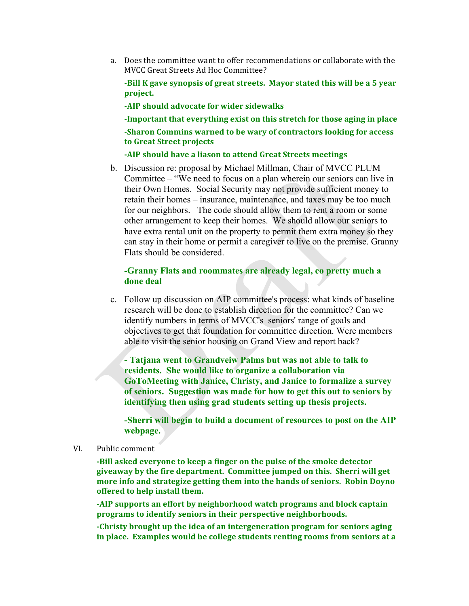a. Does the committee want to offer recommendations or collaborate with the MVCC Great Streets Ad Hoc Committee?

**-Bill K** gave synopsis of great streets. Mayor stated this will be a 5 year **project.**

**-AIP** should advocate for wider sidewalks

**-Important that everything exist on this stretch for those aging in place** 

**-Sharon Commins warned to be wary of contractors looking for access to Great Street projects**

**-AIP** should have a liason to attend Great Streets meetings

b. Discussion re: proposal by Michael Millman, Chair of MVCC PLUM Committee – "We need to focus on a plan wherein our seniors can live in their Own Homes. Social Security may not provide sufficient money to retain their homes – insurance, maintenance, and taxes may be too much for our neighbors. The code should allow them to rent a room or some other arrangement to keep their homes. We should allow our seniors to have extra rental unit on the property to permit them extra money so they can stay in their home or permit a caregiver to live on the premise. Granny Flats should be considered.

### **-Granny Flats and roommates are already legal, co pretty much a done deal**

c. Follow up discussion on AIP committee's process: what kinds of baseline research will be done to establish direction for the committee? Can we identify numbers in terms of MVCC's seniors' range of goals and objectives to get that foundation for committee direction. Were members able to visit the senior housing on Grand View and report back?

**- Tatjana went to Grandveiw Palms but was not able to talk to residents. She would like to organize a collaboration via GoToMeeting with Janice, Christy, and Janice to formalize a survey of seniors. Suggestion was made for how to get this out to seniors by identifying then using grad students setting up thesis projects.**

**-Sherri will begin to build a document of resources to post on the AIP webpage.**

#### VI. Public comment

**-Bill asked everyone to keep a finger on the pulse of the smoke detector** giveaway by the fire department. Committee jumped on this. Sherri will get more info and strategize getting them into the hands of seniors. Robin Doyno **offered to help install them.** 

**-AIP** supports an effort by neighborhood watch programs and block captain programs to identify seniors in their perspective neighborhoods.

**-Christy brought up the idea of an intergeneration program for seniors aging in place.** Examples would be college students renting rooms from seniors at a